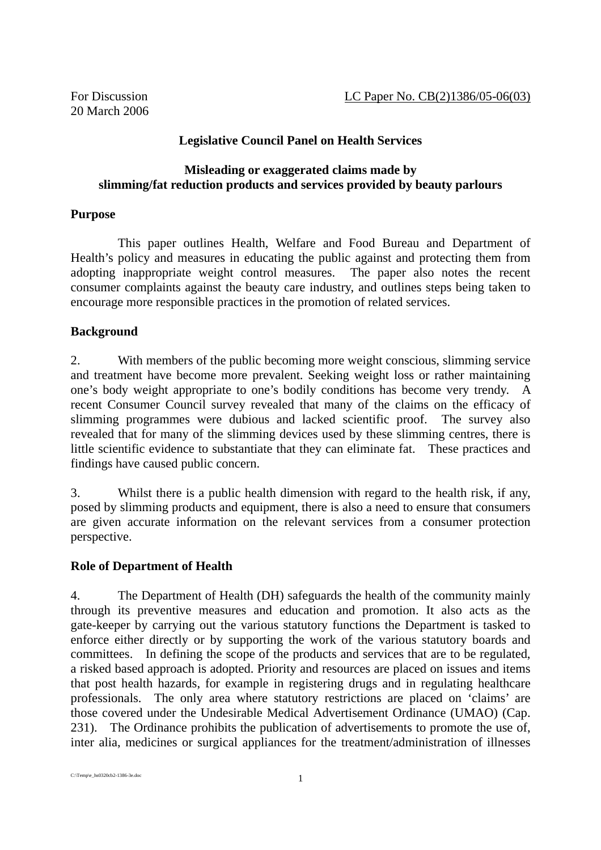## **Legislative Council Panel on Health Services**

#### **Misleading or exaggerated claims made by slimming/fat reduction products and services provided by beauty parlours**

### **Purpose**

This paper outlines Health, Welfare and Food Bureau and Department of Health's policy and measures in educating the public against and protecting them from adopting inappropriate weight control measures. The paper also notes the recent consumer complaints against the beauty care industry, and outlines steps being taken to encourage more responsible practices in the promotion of related services.

### **Background**

2. With members of the public becoming more weight conscious, slimming service and treatment have become more prevalent. Seeking weight loss or rather maintaining one's body weight appropriate to one's bodily conditions has become very trendy. A recent Consumer Council survey revealed that many of the claims on the efficacy of slimming programmes were dubious and lacked scientific proof. The survey also revealed that for many of the slimming devices used by these slimming centres, there is little scientific evidence to substantiate that they can eliminate fat. These practices and findings have caused public concern.

3. Whilst there is a public health dimension with regard to the health risk, if any, posed by slimming products and equipment, there is also a need to ensure that consumers are given accurate information on the relevant services from a consumer protection perspective.

### **Role of Department of Health**

4. The Department of Health (DH) safeguards the health of the community mainly through its preventive measures and education and promotion. It also acts as the gate-keeper by carrying out the various statutory functions the Department is tasked to enforce either directly or by supporting the work of the various statutory boards and committees. In defining the scope of the products and services that are to be regulated, a risked based approach is adopted. Priority and resources are placed on issues and items that post health hazards, for example in registering drugs and in regulating healthcare professionals. The only area where statutory restrictions are placed on 'claims' are those covered under the Undesirable Medical Advertisement Ordinance (UMAO) (Cap. 231). The Ordinance prohibits the publication of advertisements to promote the use of, inter alia, medicines or surgical appliances for the treatment/administration of illnesses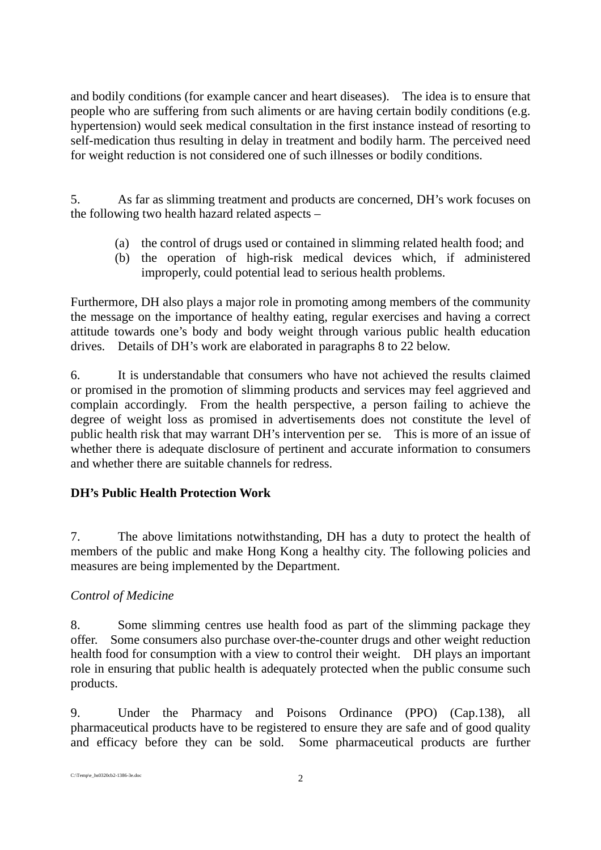and bodily conditions (for example cancer and heart diseases). The idea is to ensure that people who are suffering from such aliments or are having certain bodily conditions (e.g. hypertension) would seek medical consultation in the first instance instead of resorting to self-medication thus resulting in delay in treatment and bodily harm. The perceived need for weight reduction is not considered one of such illnesses or bodily conditions.

5. As far as slimming treatment and products are concerned, DH's work focuses on the following two health hazard related aspects –

- (a) the control of drugs used or contained in slimming related health food; and
- (b) the operation of high-risk medical devices which, if administered improperly, could potential lead to serious health problems.

Furthermore, DH also plays a major role in promoting among members of the community the message on the importance of healthy eating, regular exercises and having a correct attitude towards one's body and body weight through various public health education drives. Details of DH's work are elaborated in paragraphs 8 to 22 below.

6. It is understandable that consumers who have not achieved the results claimed or promised in the promotion of slimming products and services may feel aggrieved and complain accordingly. From the health perspective, a person failing to achieve the degree of weight loss as promised in advertisements does not constitute the level of public health risk that may warrant DH's intervention per se. This is more of an issue of whether there is adequate disclosure of pertinent and accurate information to consumers and whether there are suitable channels for redress.

# **DH's Public Health Protection Work**

7. The above limitations notwithstanding, DH has a duty to protect the health of members of the public and make Hong Kong a healthy city. The following policies and measures are being implemented by the Department.

### *Control of Medicine*

8. Some slimming centres use health food as part of the slimming package they offer. Some consumers also purchase over-the-counter drugs and other weight reduction health food for consumption with a view to control their weight. DH plays an important role in ensuring that public health is adequately protected when the public consume such products.

9. Under the Pharmacy and Poisons Ordinance (PPO) (Cap.138), all pharmaceutical products have to be registered to ensure they are safe and of good quality and efficacy before they can be sold. Some pharmaceutical products are further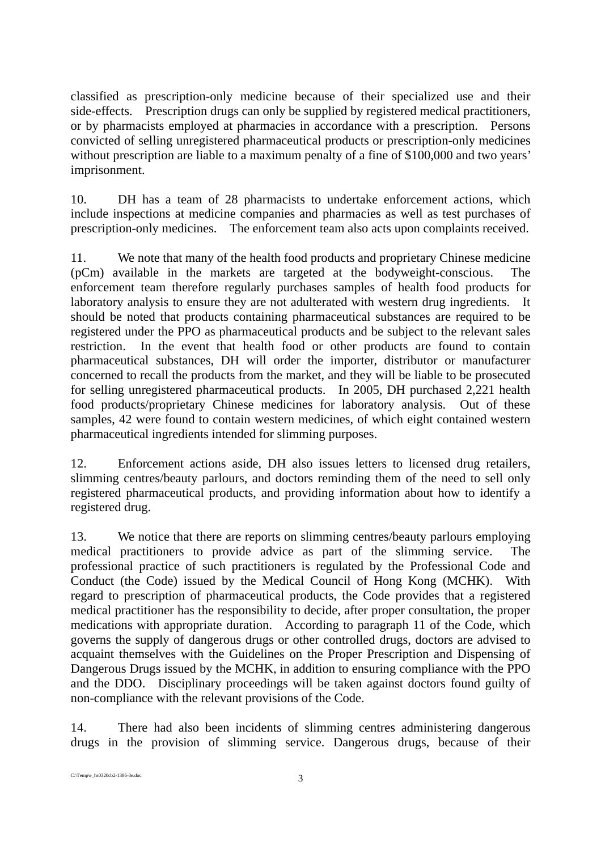classified as prescription-only medicine because of their specialized use and their side-effects. Prescription drugs can only be supplied by registered medical practitioners, or by pharmacists employed at pharmacies in accordance with a prescription. Persons convicted of selling unregistered pharmaceutical products or prescription-only medicines without prescription are liable to a maximum penalty of a fine of \$100,000 and two years' imprisonment.

10. DH has a team of 28 pharmacists to undertake enforcement actions, which include inspections at medicine companies and pharmacies as well as test purchases of prescription-only medicines. The enforcement team also acts upon complaints received.

11. We note that many of the health food products and proprietary Chinese medicine (pCm) available in the markets are targeted at the bodyweight-conscious. The enforcement team therefore regularly purchases samples of health food products for laboratory analysis to ensure they are not adulterated with western drug ingredients. It should be noted that products containing pharmaceutical substances are required to be registered under the PPO as pharmaceutical products and be subject to the relevant sales restriction. In the event that health food or other products are found to contain pharmaceutical substances, DH will order the importer, distributor or manufacturer concerned to recall the products from the market, and they will be liable to be prosecuted for selling unregistered pharmaceutical products. In 2005, DH purchased 2,221 health food products/proprietary Chinese medicines for laboratory analysis. Out of these samples, 42 were found to contain western medicines, of which eight contained western pharmaceutical ingredients intended for slimming purposes.

12. Enforcement actions aside, DH also issues letters to licensed drug retailers, slimming centres/beauty parlours, and doctors reminding them of the need to sell only registered pharmaceutical products, and providing information about how to identify a registered drug.

13. We notice that there are reports on slimming centres/beauty parlours employing medical practitioners to provide advice as part of the slimming service. The professional practice of such practitioners is regulated by the Professional Code and Conduct (the Code) issued by the Medical Council of Hong Kong (MCHK). With regard to prescription of pharmaceutical products, the Code provides that a registered medical practitioner has the responsibility to decide, after proper consultation, the proper medications with appropriate duration. According to paragraph 11 of the Code, which governs the supply of dangerous drugs or other controlled drugs, doctors are advised to acquaint themselves with the Guidelines on the Proper Prescription and Dispensing of Dangerous Drugs issued by the MCHK, in addition to ensuring compliance with the PPO and the DDO. Disciplinary proceedings will be taken against doctors found guilty of non-compliance with the relevant provisions of the Code.

14. There had also been incidents of slimming centres administering dangerous drugs in the provision of slimming service. Dangerous drugs, because of their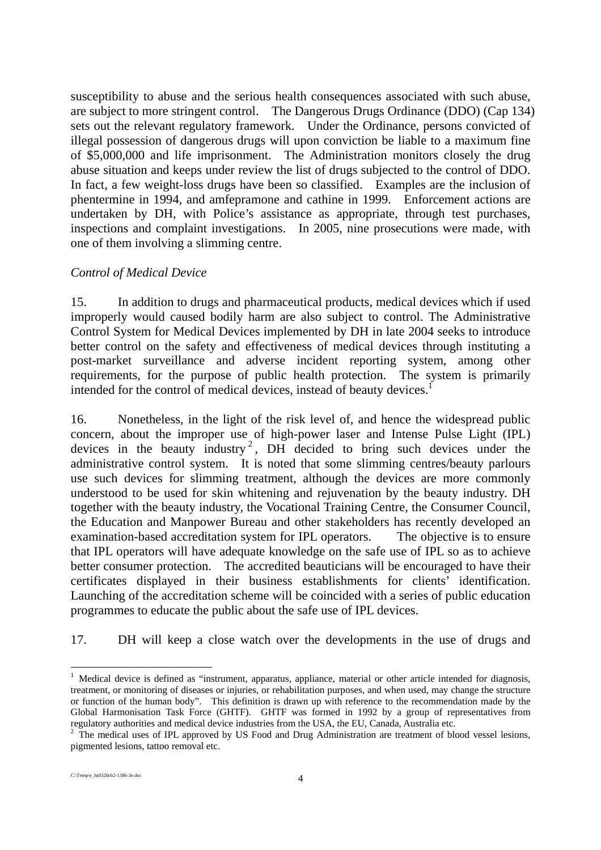susceptibility to abuse and the serious health consequences associated with such abuse, are subject to more stringent control. The Dangerous Drugs Ordinance (DDO) (Cap 134) sets out the relevant regulatory framework. Under the Ordinance, persons convicted of illegal possession of dangerous drugs will upon conviction be liable to a maximum fine of \$5,000,000 and life imprisonment. The Administration monitors closely the drug abuse situation and keeps under review the list of drugs subjected to the control of DDO. In fact, a few weight-loss drugs have been so classified. Examples are the inclusion of phentermine in 1994, and amfepramone and cathine in 1999. Enforcement actions are undertaken by DH, with Police's assistance as appropriate, through test purchases, inspections and complaint investigations. In 2005, nine prosecutions were made, with one of them involving a slimming centre.

### *Control of Medical Device*

15. In addition to drugs and pharmaceutical products, medical devices which if used improperly would caused bodily harm are also subject to control. The Administrative Control System for Medical Devices implemented by DH in late 2004 seeks to introduce better control on the safety and effectiveness of medical devices through instituting a post-market surveillance and adverse incident reporting system, among other requirements, for the purpose of public health protection. The system is primarily intended for the control of medical devices, instead of beauty devices.<sup>1</sup>

16. Nonetheless, in the light of the risk level of, and hence the widespread public concern, about the improper use of high-power laser and Intense Pulse Light (IPL) devices in the beauty industry<sup>2</sup>, DH decided to bring such devices under the administrative control system. It is noted that some slimming centres/beauty parlours use such devices for slimming treatment, although the devices are more commonly understood to be used for skin whitening and rejuvenation by the beauty industry. DH together with the beauty industry, the Vocational Training Centre, the Consumer Council, the Education and Manpower Bureau and other stakeholders has recently developed an examination-based accreditation system for IPL operators. The objective is to ensure that IPL operators will have adequate knowledge on the safe use of IPL so as to achieve better consumer protection. The accredited beauticians will be encouraged to have their certificates displayed in their business establishments for clients' identification. Launching of the accreditation scheme will be coincided with a series of public education programmes to educate the public about the safe use of IPL devices.

17. DH will keep a close watch over the developments in the use of drugs and

<sup>-</sup><sup>1</sup> Medical device is defined as "instrument, apparatus, appliance, material or other article intended for diagnosis, treatment, or monitoring of diseases or injuries, or rehabilitation purposes, and when used, may change the structure or function of the human body". This definition is drawn up with reference to the recommendation made by the Global Harmonisation Task Force (GHTF). GHTF was formed in 1992 by a group of representatives from regulatory authorities and medical device industries from the USA, the EU, Canada, Australia etc.

<sup>&</sup>lt;sup>2</sup> The medical uses of IPL approved by US Food and Drug Administration are treatment of blood vessel lesions, pigmented lesions, tattoo removal etc.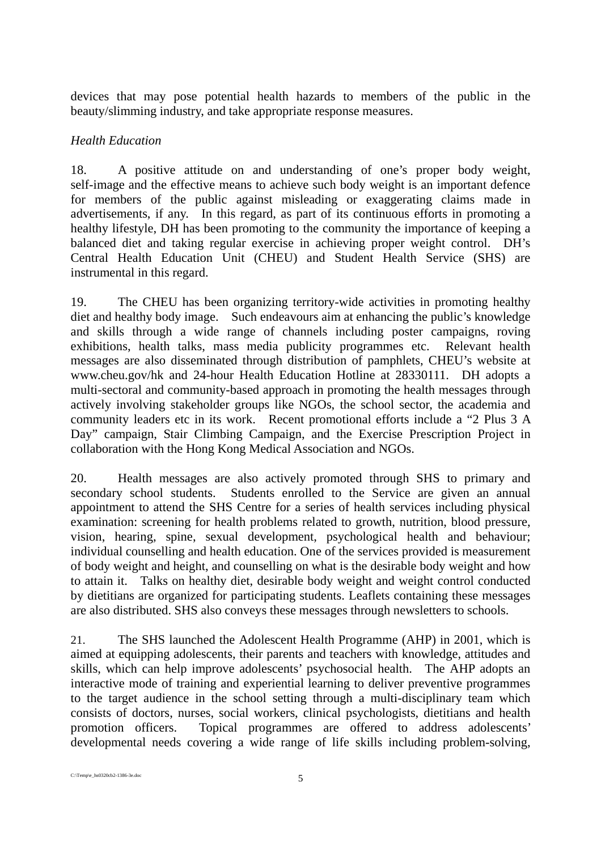devices that may pose potential health hazards to members of the public in the beauty/slimming industry, and take appropriate response measures.

## *Health Education*

18. A positive attitude on and understanding of one's proper body weight, self-image and the effective means to achieve such body weight is an important defence for members of the public against misleading or exaggerating claims made in advertisements, if any. In this regard, as part of its continuous efforts in promoting a healthy lifestyle, DH has been promoting to the community the importance of keeping a balanced diet and taking regular exercise in achieving proper weight control. DH's Central Health Education Unit (CHEU) and Student Health Service (SHS) are instrumental in this regard.

19. The CHEU has been organizing territory-wide activities in promoting healthy diet and healthy body image. Such endeavours aim at enhancing the public's knowledge and skills through a wide range of channels including poster campaigns, roving exhibitions, health talks, mass media publicity programmes etc. Relevant health messages are also disseminated through distribution of pamphlets, CHEU's website at www.cheu.gov/hk and 24-hour Health Education Hotline at 28330111. DH adopts a multi-sectoral and community-based approach in promoting the health messages through actively involving stakeholder groups like NGOs, the school sector, the academia and community leaders etc in its work. Recent promotional efforts include a "2 Plus 3 A Day" campaign, Stair Climbing Campaign, and the Exercise Prescription Project in collaboration with the Hong Kong Medical Association and NGOs.

20. Health messages are also actively promoted through SHS to primary and secondary school students. Students enrolled to the Service are given an annual appointment to attend the SHS Centre for a series of health services including physical examination: screening for health problems related to growth, nutrition, blood pressure, vision, hearing, spine, sexual development, psychological health and behaviour; individual counselling and health education. One of the services provided is measurement of body weight and height, and counselling on what is the desirable body weight and how to attain it. Talks on healthy diet, desirable body weight and weight control conducted by dietitians are organized for participating students. Leaflets containing these messages are also distributed. SHS also conveys these messages through newsletters to schools.

21. The SHS launched the Adolescent Health Programme (AHP) in 2001, which is aimed at equipping adolescents, their parents and teachers with knowledge, attitudes and skills, which can help improve adolescents' psychosocial health. The AHP adopts an interactive mode of training and experiential learning to deliver preventive programmes to the target audience in the school setting through a multi-disciplinary team which consists of doctors, nurses, social workers, clinical psychologists, dietitians and health promotion officers. Topical programmes are offered to address adolescents' developmental needs covering a wide range of life skills including problem-solving,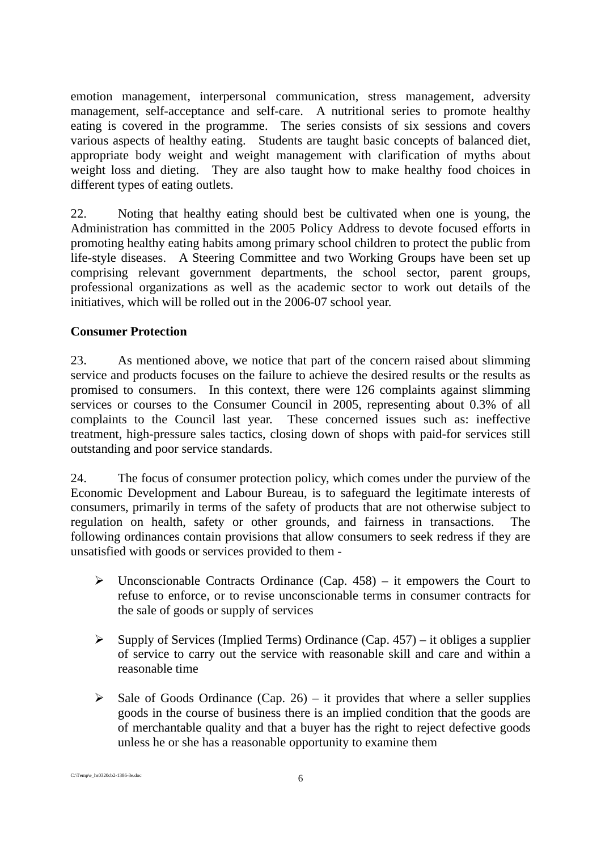emotion management, interpersonal communication, stress management, adversity management, self-acceptance and self-care. A nutritional series to promote healthy eating is covered in the programme. The series consists of six sessions and covers various aspects of healthy eating. Students are taught basic concepts of balanced diet, appropriate body weight and weight management with clarification of myths about weight loss and dieting. They are also taught how to make healthy food choices in different types of eating outlets.

22. Noting that healthy eating should best be cultivated when one is young, the Administration has committed in the 2005 Policy Address to devote focused efforts in promoting healthy eating habits among primary school children to protect the public from life-style diseases. A Steering Committee and two Working Groups have been set up comprising relevant government departments, the school sector, parent groups, professional organizations as well as the academic sector to work out details of the initiatives, which will be rolled out in the 2006-07 school year.

## **Consumer Protection**

23. As mentioned above, we notice that part of the concern raised about slimming service and products focuses on the failure to achieve the desired results or the results as promised to consumers. In this context, there were 126 complaints against slimming services or courses to the Consumer Council in 2005, representing about 0.3% of all complaints to the Council last year. These concerned issues such as: ineffective treatment, high-pressure sales tactics, closing down of shops with paid-for services still outstanding and poor service standards.

24. The focus of consumer protection policy, which comes under the purview of the Economic Development and Labour Bureau, is to safeguard the legitimate interests of consumers, primarily in terms of the safety of products that are not otherwise subject to regulation on health, safety or other grounds, and fairness in transactions. The following ordinances contain provisions that allow consumers to seek redress if they are unsatisfied with goods or services provided to them -

- $\triangleright$  Unconscionable Contracts Ordinance (Cap. 458) it empowers the Court to refuse to enforce, or to revise unconscionable terms in consumer contracts for the sale of goods or supply of services
- $\triangleright$  Supply of Services (Implied Terms) Ordinance (Cap. 457) it obliges a supplier of service to carry out the service with reasonable skill and care and within a reasonable time
- $\triangleright$  Sale of Goods Ordinance (Cap. 26) it provides that where a seller supplies goods in the course of business there is an implied condition that the goods are of merchantable quality and that a buyer has the right to reject defective goods unless he or she has a reasonable opportunity to examine them

C:\Temp\e\_hs0320cb2-1386-3e.doc 6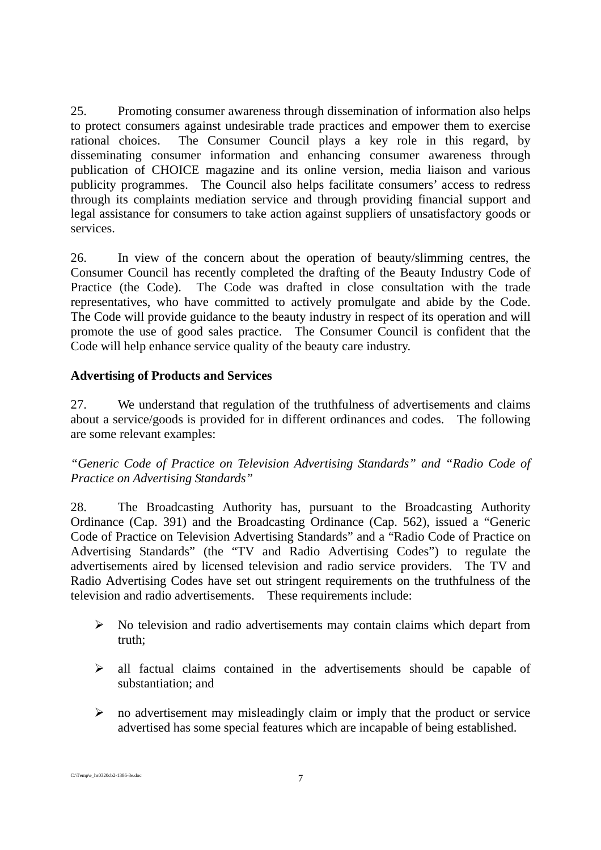25. Promoting consumer awareness through dissemination of information also helps to protect consumers against undesirable trade practices and empower them to exercise rational choices. The Consumer Council plays a key role in this regard, by disseminating consumer information and enhancing consumer awareness through publication of CHOICE magazine and its online version, media liaison and various publicity programmes. The Council also helps facilitate consumers' access to redress through its complaints mediation service and through providing financial support and legal assistance for consumers to take action against suppliers of unsatisfactory goods or services.

26. In view of the concern about the operation of beauty/slimming centres, the Consumer Council has recently completed the drafting of the Beauty Industry Code of Practice (the Code). The Code was drafted in close consultation with the trade representatives, who have committed to actively promulgate and abide by the Code. The Code will provide guidance to the beauty industry in respect of its operation and will promote the use of good sales practice. The Consumer Council is confident that the Code will help enhance service quality of the beauty care industry.

## **Advertising of Products and Services**

27. We understand that regulation of the truthfulness of advertisements and claims about a service/goods is provided for in different ordinances and codes. The following are some relevant examples:

*"Generic Code of Practice on Television Advertising Standards" and "Radio Code of Practice on Advertising Standards"* 

28. The Broadcasting Authority has, pursuant to the Broadcasting Authority Ordinance (Cap. 391) and the Broadcasting Ordinance (Cap. 562), issued a "Generic Code of Practice on Television Advertising Standards" and a "Radio Code of Practice on Advertising Standards" (the "TV and Radio Advertising Codes") to regulate the advertisements aired by licensed television and radio service providers. The TV and Radio Advertising Codes have set out stringent requirements on the truthfulness of the television and radio advertisements. These requirements include:

- $\triangleright$  No television and radio advertisements may contain claims which depart from truth;
- $\triangleright$  all factual claims contained in the advertisements should be capable of substantiation; and
- $\triangleright$  no advertisement may misleadingly claim or imply that the product or service advertised has some special features which are incapable of being established.

C:\Temp\e\_hs0320cb2-1386-3e.doc 7